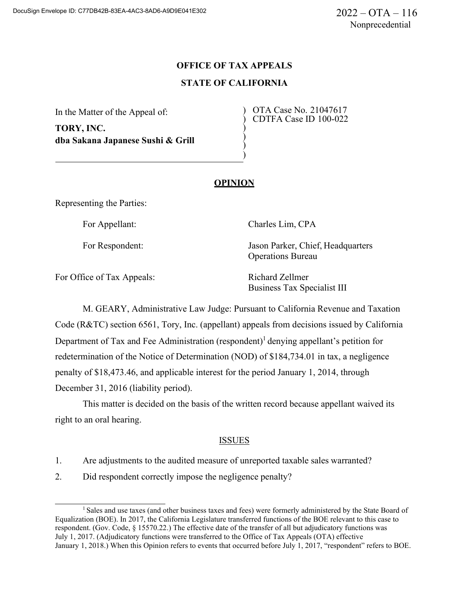# **OFFICE OF TAX APPEALS STATE OF CALIFORNIA**

) ) ) )

In the Matter of the Appeal of:

**TORY, INC. dba Sakana Japanese Sushi & Grill** ) OTA Case No. 21047617 ) CDTFA Case ID 100-022

# **OPINION**

Representing the Parties:

For Appellant: Charles Lim, CPA

For Respondent: Jason Parker, Chief, Headquarters Operations Bureau

For Office of Tax Appeals: Richard Zellmer

Business Tax Specialist III

M. GEARY, Administrative Law Judge: Pursuant to California Revenue and Taxation Code (R&TC) section 6561, Tory, Inc. (appellant) appeals from decisions issued by California Department of Tax and Fee Administration (respondent)<sup>1</sup> denying appellant's petition for redetermination of the Notice of Determination (NOD) of \$184,734.01 in tax, a negligence penalty of \$18,473.46, and applicable interest for the period January 1, 2014, through December 31, 2016 (liability period).

This matter is decided on the basis of the written record because appellant waived its right to an oral hearing.

## **ISSUES**

- 1. Are adjustments to the audited measure of unreported taxable sales warranted?
- 2. Did respondent correctly impose the negligence penalty?

<sup>&</sup>lt;sup>1</sup> Sales and use taxes (and other business taxes and fees) were formerly administered by the State Board of Equalization (BOE). In 2017, the California Legislature transferred functions of the BOE relevant to this case to respondent. (Gov. Code, § 15570.22.) The effective date of the transfer of all but adjudicatory functions was July 1, 2017. (Adjudicatory functions were transferred to the Office of Tax Appeals (OTA) effective January 1, 2018.) When this Opinion refers to events that occurred before July 1, 2017, "respondent" refers to BOE.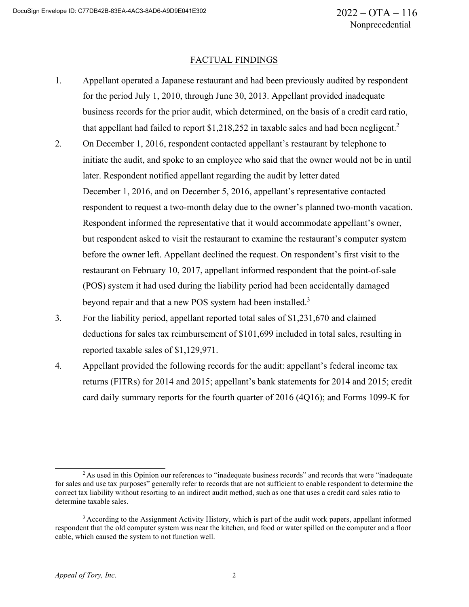#### FACTUAL FINDINGS

- 1. Appellant operated a Japanese restaurant and had been previously audited by respondent for the period July 1, 2010, through June 30, 2013. Appellant provided inadequate business records for the prior audit, which determined, on the basis of a credit card ratio, that appellant had failed to report  $\frac{1,218,252}$  in taxable sales and had been negligent.<sup>2</sup>
- 2. On December 1, 2016, respondent contacted appellant's restaurant by telephone to initiate the audit, and spoke to an employee who said that the owner would not be in until later. Respondent notified appellant regarding the audit by letter dated December 1, 2016, and on December 5, 2016, appellant's representative contacted respondent to request a two-month delay due to the owner's planned two-month vacation. Respondent informed the representative that it would accommodate appellant's owner, but respondent asked to visit the restaurant to examine the restaurant's computer system before the owner left. Appellant declined the request. On respondent's first visit to the restaurant on February 10, 2017, appellant informed respondent that the point-of-sale (POS) system it had used during the liability period had been accidentally damaged beyond repair and that a new POS system had been installed.<sup>3</sup>
- 3. For the liability period, appellant reported total sales of \$1,231,670 and claimed deductions for sales tax reimbursement of \$101,699 included in total sales, resulting in reported taxable sales of \$1,129,971.
- 4. Appellant provided the following records for the audit: appellant's federal income tax returns (FITRs) for 2014 and 2015; appellant's bank statements for 2014 and 2015; credit card daily summary reports for the fourth quarter of 2016 (4Q16); and Forms 1099-K for

<sup>&</sup>lt;sup>2</sup> As used in this Opinion our references to "inadequate business records" and records that were "inadequate" for sales and use tax purposes" generally refer to records that are not sufficient to enable respondent to determine the correct tax liability without resorting to an indirect audit method, such as one that uses a credit card sales ratio to determine taxable sales.

<sup>&</sup>lt;sup>3</sup> According to the Assignment Activity History, which is part of the audit work papers, appellant informed respondent that the old computer system was near the kitchen, and food or water spilled on the computer and a floor cable, which caused the system to not function well.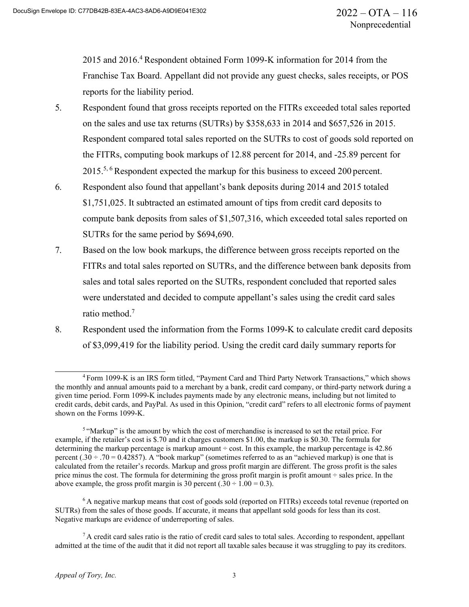2015 and 2016.<sup>4</sup> Respondent obtained Form 1099-K information for 2014 from the Franchise Tax Board. Appellant did not provide any guest checks, sales receipts, or POS reports for the liability period.

- 5. Respondent found that gross receipts reported on the FITRs exceeded total sales reported on the sales and use tax returns (SUTRs) by \$358,633 in 2014 and \$657,526 in 2015. Respondent compared total sales reported on the SUTRs to cost of goods sold reported on the FITRs, computing book markups of 12.88 percent for 2014, and -25.89 percent for 2015.<sup>5, 6</sup> Respondent expected the markup for this business to exceed 200 percent.
- 6. Respondent also found that appellant's bank deposits during 2014 and 2015 totaled \$1,751,025. It subtracted an estimated amount of tips from credit card deposits to compute bank deposits from sales of \$1,507,316, which exceeded total sales reported on SUTRs for the same period by \$694,690.
- 7. Based on the low book markups, the difference between gross receipts reported on the FITRs and total sales reported on SUTRs, and the difference between bank deposits from sales and total sales reported on the SUTRs, respondent concluded that reported sales were understated and decided to compute appellant's sales using the credit card sales ratio method.7
- 8. Respondent used the information from the Forms 1099-K to calculate credit card deposits of \$3,099,419 for the liability period. Using the credit card daily summary reports for

<sup>4</sup> Form 1099-K is an IRS form titled, "Payment Card and Third Party Network Transactions," which shows the monthly and annual amounts paid to a merchant by a bank, credit card company, or third-party network during a given time period. Form 1099-K includes payments made by any electronic means, including but not limited to credit cards, debit cards, and PayPal. As used in this Opinion, "credit card" refers to all electronic forms of payment shown on the Forms 1099-K.

<sup>&</sup>lt;sup>5</sup> "Markup" is the amount by which the cost of merchandise is increased to set the retail price. For example, if the retailer's cost is \$.70 and it charges customers \$1.00, the markup is \$0.30. The formula for determining the markup percentage is markup amount  $\div$  cost. In this example, the markup percentage is 42.86 percent (.30 ÷ .70 = 0.42857). A "book markup" (sometimes referred to as an "achieved markup) is one that is calculated from the retailer's records. Markup and gross profit margin are different. The gross profit is the sales price minus the cost. The formula for determining the gross profit margin is profit amount ÷ sales price. In the above example, the gross profit margin is 30 percent  $(.30 \div 1.00 = 0.3)$ .

 $6$  A negative markup means that cost of goods sold (reported on FITRs) exceeds total revenue (reported on SUTRs) from the sales of those goods. If accurate, it means that appellant sold goods for less than its cost. Negative markups are evidence of underreporting of sales.

 $7A$  credit card sales ratio is the ratio of credit card sales to total sales. According to respondent, appellant admitted at the time of the audit that it did not report all taxable sales because it was struggling to pay its creditors.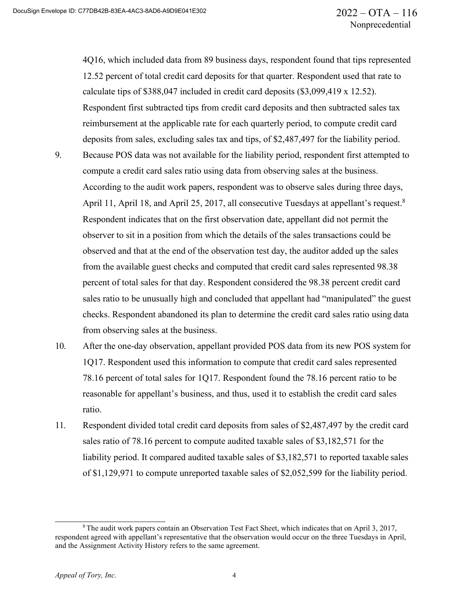4Q16, which included data from 89 business days, respondent found that tips represented 12.52 percent of total credit card deposits for that quarter. Respondent used that rate to calculate tips of \$388,047 included in credit card deposits (\$3,099,419 x 12.52). Respondent first subtracted tips from credit card deposits and then subtracted sales tax reimbursement at the applicable rate for each quarterly period, to compute credit card deposits from sales, excluding sales tax and tips, of \$2,487,497 for the liability period.

- 9. Because POS data was not available for the liability period, respondent first attempted to compute a credit card sales ratio using data from observing sales at the business. According to the audit work papers, respondent was to observe sales during three days, April 11, April 18, and April 25, 2017, all consecutive Tuesdays at appellant's request.<sup>8</sup> Respondent indicates that on the first observation date, appellant did not permit the observer to sit in a position from which the details of the sales transactions could be observed and that at the end of the observation test day, the auditor added up the sales from the available guest checks and computed that credit card sales represented 98.38 percent of total sales for that day. Respondent considered the 98.38 percent credit card sales ratio to be unusually high and concluded that appellant had "manipulated" the guest checks. Respondent abandoned its plan to determine the credit card sales ratio using data from observing sales at the business.
- 10. After the one-day observation, appellant provided POS data from its new POS system for 1Q17. Respondent used this information to compute that credit card sales represented 78.16 percent of total sales for 1Q17. Respondent found the 78.16 percent ratio to be reasonable for appellant's business, and thus, used it to establish the credit card sales ratio.
- 11. Respondent divided total credit card deposits from sales of \$2,487,497 by the credit card sales ratio of 78.16 percent to compute audited taxable sales of \$3,182,571 for the liability period. It compared audited taxable sales of \$3,182,571 to reported taxable sales of \$1,129,971 to compute unreported taxable sales of \$2,052,599 for the liability period.

<sup>8</sup> The audit work papers contain an Observation Test Fact Sheet, which indicates that on April 3, 2017, respondent agreed with appellant's representative that the observation would occur on the three Tuesdays in April, and the Assignment Activity History refers to the same agreement.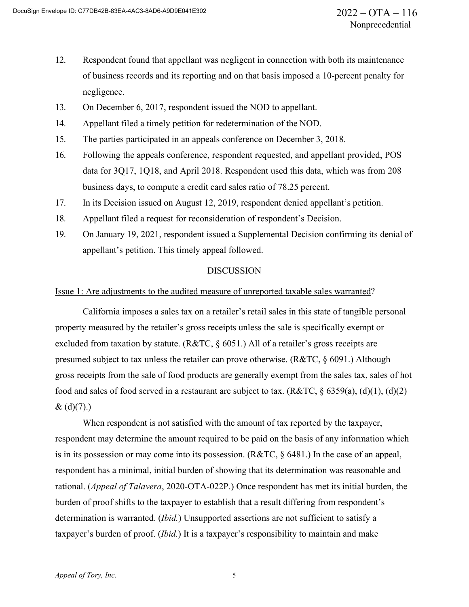- 12. Respondent found that appellant was negligent in connection with both its maintenance of business records and its reporting and on that basis imposed a 10-percent penalty for negligence.
- 13. On December 6, 2017, respondent issued the NOD to appellant.
- 14. Appellant filed a timely petition for redetermination of the NOD.
- 15. The parties participated in an appeals conference on December 3, 2018.
- 16. Following the appeals conference, respondent requested, and appellant provided, POS data for 3Q17, 1Q18, and April 2018. Respondent used this data, which was from 208 business days, to compute a credit card sales ratio of 78.25 percent.
- 17. In its Decision issued on August 12, 2019, respondent denied appellant's petition.
- 18. Appellant filed a request for reconsideration of respondent's Decision.
- 19. On January 19, 2021, respondent issued a Supplemental Decision confirming its denial of appellant's petition. This timely appeal followed.

#### DISCUSSION

#### Issue 1: Are adjustments to the audited measure of unreported taxable sales warranted?

California imposes a sales tax on a retailer's retail sales in this state of tangible personal property measured by the retailer's gross receipts unless the sale is specifically exempt or excluded from taxation by statute. (R&TC, § 6051.) All of a retailer's gross receipts are presumed subject to tax unless the retailer can prove otherwise. (R&TC, § 6091.) Although gross receipts from the sale of food products are generally exempt from the sales tax, sales of hot food and sales of food served in a restaurant are subject to tax. ( $R&TC, \S$  6359(a), (d)(1), (d)(2)  $& (d)(7).$ 

When respondent is not satisfied with the amount of tax reported by the taxpayer, respondent may determine the amount required to be paid on the basis of any information which is in its possession or may come into its possession. (R&TC, § 6481.) In the case of an appeal, respondent has a minimal, initial burden of showing that its determination was reasonable and rational. (*Appeal of Talavera*, 2020-OTA-022P.) Once respondent has met its initial burden, the burden of proof shifts to the taxpayer to establish that a result differing from respondent's determination is warranted. (*Ibid.*) Unsupported assertions are not sufficient to satisfy a taxpayer's burden of proof. (*Ibid.*) It is a taxpayer's responsibility to maintain and make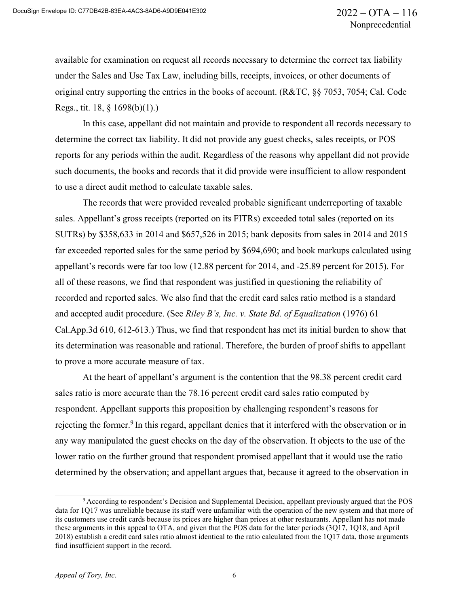available for examination on request all records necessary to determine the correct tax liability under the Sales and Use Tax Law, including bills, receipts, invoices, or other documents of original entry supporting the entries in the books of account. (R&TC, §§ 7053, 7054; Cal. Code Regs., tit. 18, § 1698(b)(1).)

In this case, appellant did not maintain and provide to respondent all records necessary to determine the correct tax liability. It did not provide any guest checks, sales receipts, or POS reports for any periods within the audit. Regardless of the reasons why appellant did not provide such documents, the books and records that it did provide were insufficient to allow respondent to use a direct audit method to calculate taxable sales.

The records that were provided revealed probable significant underreporting of taxable sales. Appellant's gross receipts (reported on its FITRs) exceeded total sales (reported on its SUTRs) by \$358,633 in 2014 and \$657,526 in 2015; bank deposits from sales in 2014 and 2015 far exceeded reported sales for the same period by \$694,690; and book markups calculated using appellant's records were far too low (12.88 percent for 2014, and -25.89 percent for 2015). For all of these reasons, we find that respondent was justified in questioning the reliability of recorded and reported sales. We also find that the credit card sales ratio method is a standard and accepted audit procedure. (See *Riley B's, Inc. v. State Bd. of Equalization* (1976) 61 Cal.App.3d 610, 612-613.) Thus, we find that respondent has met its initial burden to show that its determination was reasonable and rational. Therefore, the burden of proof shifts to appellant to prove a more accurate measure of tax.

At the heart of appellant's argument is the contention that the 98.38 percent credit card sales ratio is more accurate than the 78.16 percent credit card sales ratio computed by respondent. Appellant supports this proposition by challenging respondent's reasons for rejecting the former.<sup>9</sup> In this regard, appellant denies that it interfered with the observation or in any way manipulated the guest checks on the day of the observation. It objects to the use of the lower ratio on the further ground that respondent promised appellant that it would use the ratio determined by the observation; and appellant argues that, because it agreed to the observation in

<sup>9</sup> According to respondent's Decision and Supplemental Decision, appellant previously argued that the POS data for 1Q17 was unreliable because its staff were unfamiliar with the operation of the new system and that more of its customers use credit cards because its prices are higher than prices at other restaurants. Appellant has not made these arguments in this appeal to OTA, and given that the POS data for the later periods (3Q17, 1Q18, and April 2018) establish a credit card sales ratio almost identical to the ratio calculated from the 1Q17 data, those arguments find insufficient support in the record.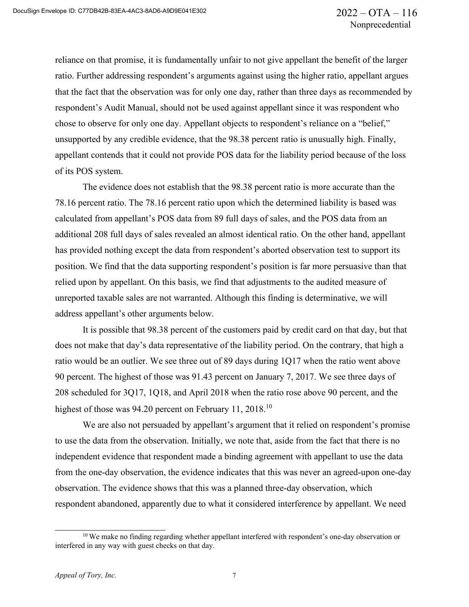reliance on that promise, it is fundamentally unfair to not give appellant the benefit of the larger ratio. Further addressing respondent's arguments against using the higher ratio, appellant argues that the fact that the observation was for only one day, rather than three days as recommended by respondent's Audit Manual, should not be used against appellant since it was respondent who chose to observe for only one day. Appellant objects to respondent's reliance on a "belief," unsupported by any credible evidence, that the 98.38 percent ratio is unusually high. Finally, appellant contends that it could not provide POS data for the liability period because of the loss of its POS system.

The evidence does not establish that the 98.38 percent ratio is more accurate than the 78.16 percent ratio. The 78.16 percent ratio upon which the determined liability is based was calculated from appellant's POS data from 89 full days of sales, and the POS data from an additional 208 full days of sales revealed an almost identical ratio. On the other hand, appellant has provided nothing except the data from respondent's aborted observation test to support its position. We find that the data supporting respondent's position is far more persuasive than that relied upon by appellant. On this basis, we find that adjustments to the audited measure of unreported taxable sales are not warranted. Although this finding is determinative, we will address appellant's other arguments below.

It is possible that 98.38 percent of the customers paid by credit card on that day, but that does not make that day's data representative of the liability period. On the contrary, that high a ratio would be an outlier. We see three out of 89 days during 1Q17 when the ratio went above 90 percent. The highest of those was 91.43 percent on January 7, 2017. We see three days of 208 scheduled for 3Q17, 1Q18, and April 2018 when the ratio rose above 90 percent, and the highest of those was 94.20 percent on February 11, 2018.<sup>10</sup>

We are also not persuaded by appellant's argument that it relied on respondent's promise to use the data from the observation. Initially, we note that, aside from the fact that there is no independent evidence that respondent made a binding agreement with appellant to use the data from the one-day observation, the evidence indicates that this was never an agreed-upon one-day observation. The evidence shows that this was a planned three-day observation, which respondent abandoned, apparently due to what it considered interference by appellant. We need

<sup>&</sup>lt;sup>10</sup> We make no finding regarding whether appellant interfered with respondent's one-day observation or interfered in any way with guest checks on that day.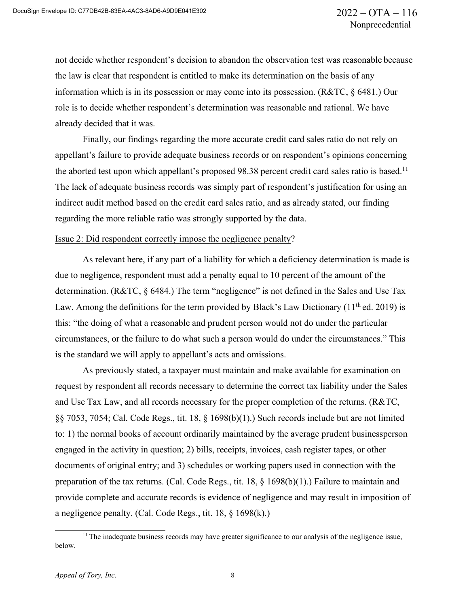not decide whether respondent's decision to abandon the observation test was reasonable because the law is clear that respondent is entitled to make its determination on the basis of any information which is in its possession or may come into its possession. (R&TC, § 6481.) Our role is to decide whether respondent's determination was reasonable and rational. We have already decided that it was.

Finally, our findings regarding the more accurate credit card sales ratio do not rely on appellant's failure to provide adequate business records or on respondent's opinions concerning the aborted test upon which appellant's proposed 98.38 percent credit card sales ratio is based.<sup>11</sup> The lack of adequate business records was simply part of respondent's justification for using an indirect audit method based on the credit card sales ratio, and as already stated, our finding regarding the more reliable ratio was strongly supported by the data.

#### Issue 2: Did respondent correctly impose the negligence penalty?

As relevant here, if any part of a liability for which a deficiency determination is made is due to negligence, respondent must add a penalty equal to 10 percent of the amount of the determination. (R&TC, § 6484.) The term "negligence" is not defined in the Sales and Use Tax Law. Among the definitions for the term provided by Black's Law Dictionary ( $11<sup>th</sup>$  ed. 2019) is this: "the doing of what a reasonable and prudent person would not do under the particular circumstances, or the failure to do what such a person would do under the circumstances." This is the standard we will apply to appellant's acts and omissions.

As previously stated, a taxpayer must maintain and make available for examination on request by respondent all records necessary to determine the correct tax liability under the Sales and Use Tax Law, and all records necessary for the proper completion of the returns. (R&TC, §§ 7053, 7054; Cal. Code Regs., tit. 18, § 1698(b)(1).) Such records include but are not limited to: 1) the normal books of account ordinarily maintained by the average prudent businessperson engaged in the activity in question; 2) bills, receipts, invoices, cash register tapes, or other documents of original entry; and 3) schedules or working papers used in connection with the preparation of the tax returns. (Cal. Code Regs., tit. 18, § 1698(b)(1).) Failure to maintain and provide complete and accurate records is evidence of negligence and may result in imposition of a negligence penalty. (Cal. Code Regs., tit. 18, § 1698(k).)

<sup>&</sup>lt;sup>11</sup> The inadequate business records may have greater significance to our analysis of the negligence issue, below.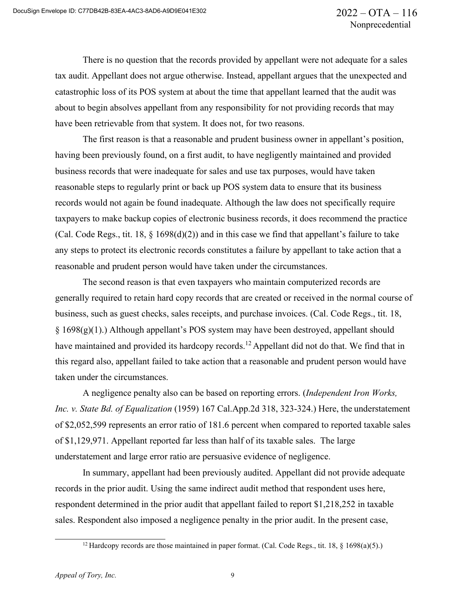There is no question that the records provided by appellant were not adequate for a sales tax audit. Appellant does not argue otherwise. Instead, appellant argues that the unexpected and catastrophic loss of its POS system at about the time that appellant learned that the audit was about to begin absolves appellant from any responsibility for not providing records that may have been retrievable from that system. It does not, for two reasons.

The first reason is that a reasonable and prudent business owner in appellant's position, having been previously found, on a first audit, to have negligently maintained and provided business records that were inadequate for sales and use tax purposes, would have taken reasonable steps to regularly print or back up POS system data to ensure that its business records would not again be found inadequate. Although the law does not specifically require taxpayers to make backup copies of electronic business records, it does recommend the practice (Cal. Code Regs., tit. 18,  $\S$  1698(d)(2)) and in this case we find that appellant's failure to take any steps to protect its electronic records constitutes a failure by appellant to take action that a reasonable and prudent person would have taken under the circumstances.

The second reason is that even taxpayers who maintain computerized records are generally required to retain hard copy records that are created or received in the normal course of business, such as guest checks, sales receipts, and purchase invoices. (Cal. Code Regs., tit. 18, § 1698(g)(1).) Although appellant's POS system may have been destroyed, appellant should have maintained and provided its hardcopy records.<sup>12</sup> Appellant did not do that. We find that in this regard also, appellant failed to take action that a reasonable and prudent person would have taken under the circumstances.

A negligence penalty also can be based on reporting errors. (*Independent Iron Works, Inc. v. State Bd. of Equalization* (1959) 167 Cal.App.2d 318, 323-324.) Here, the understatement of \$2,052,599 represents an error ratio of 181.6 percent when compared to reported taxable sales of \$1,129,971. Appellant reported far less than half of its taxable sales. The large understatement and large error ratio are persuasive evidence of negligence.

In summary, appellant had been previously audited. Appellant did not provide adequate records in the prior audit. Using the same indirect audit method that respondent uses here, respondent determined in the prior audit that appellant failed to report \$1,218,252 in taxable sales. Respondent also imposed a negligence penalty in the prior audit. In the present case,

<sup>&</sup>lt;sup>12</sup> Hardcopy records are those maintained in paper format. (Cal. Code Regs., tit. 18,  $\frac{1}{5}$  1698(a)(5).)